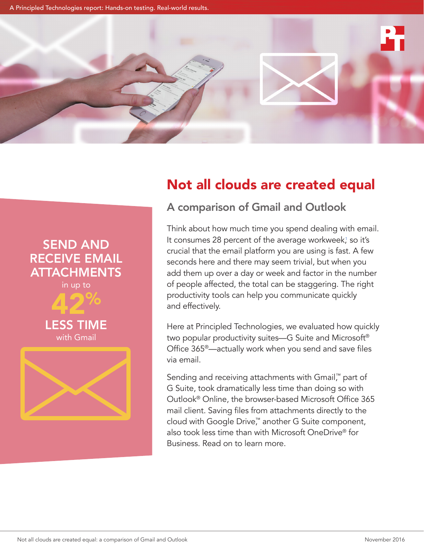A Principled Technologies report: Hands-on testing. Real-world results.

SEND AND RECEIVE EMAIL

**ATTACHMENTS** in up to

42%

LESS TIME with Gmail



# Not all clouds are created equal



Think about how much time you spend dealing with email. It consumes 28 percent of the average workweek[,1](#page-6-0) so it's crucial that the email platform you are using is fast. A few seconds here and there may seem trivial, but when you add them up over a day or week and factor in the number of people affected, the total can be staggering. The right productivity tools can help you communicate quickly and effectively.

Here at Principled Technologies, we evaluated how quickly two popular productivity suites—G Suite and Microsoft® Office 365®—actually work when you send and save files via email.

Sending and receiving attachments with Gmail™ part of G Suite, took dramatically less time than doing so with Outlook® Online, the browser-based Microsoft Office 365 mail client. Saving files from attachments directly to the cloud with Google Drive,™ another G Suite component, also took less time than with Microsoft OneDrive® for Business. Read on to learn more.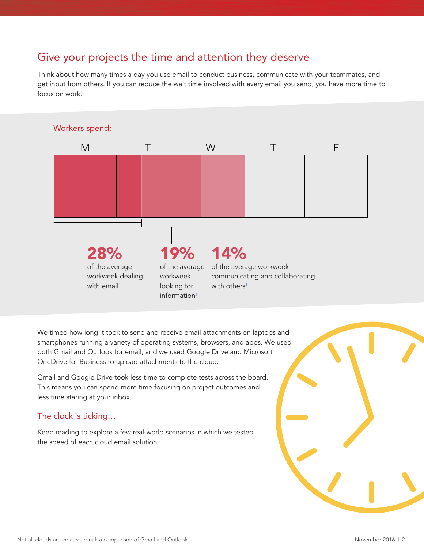## Give your projects the time and attention they deserve

Think about how many times a day you use email to conduct business, communicate with your teammates, and get input from others. If you can reduce the wait time involved with every email you send, you have more time to focus on work.



We timed how long it took to send and receive email attachments on laptops and smartphones running a variety of operating systems, browsers, and apps. We used both Gmail and Outlook for email, and we used Google Drive and Microsoft OneDrive for Business to upload attachments to the cloud.

Gmail and Google Drive took less time to complete tests across the board. This means you can spend more time focusing on project outcomes and less time staring at your inbox.

### The clock is ticking…

Keep reading to explore a few real-world scenarios in which we tested the speed of each cloud email solution.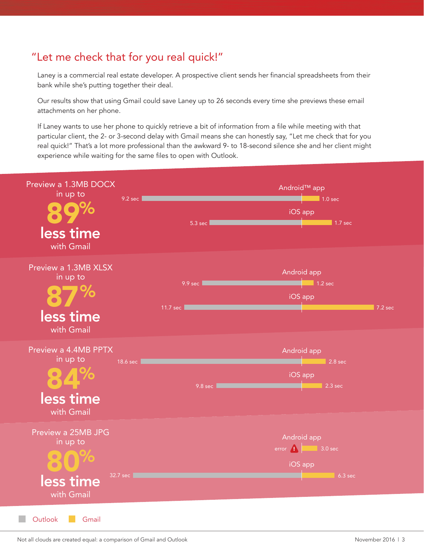## "Let me check that for you real quick!"

Laney is a commercial real estate developer. A prospective client sends her financial spreadsheets from their bank while she's putting together their deal.

Our results show that using Gmail could save Laney up to 26 seconds every time she previews these email attachments on her phone.

If Laney wants to use her phone to quickly retrieve a bit of information from a file while meeting with that particular client, the 2- or 3-second delay with Gmail means she can honestly say, "Let me check that for you real quick!" That's a lot more professional than the awkward 9- to 18-second silence she and her client might experience while waiting for the same files to open with Outlook.



Not all clouds are created equal: a comparison of Gmail and Outlook November 2016 | 3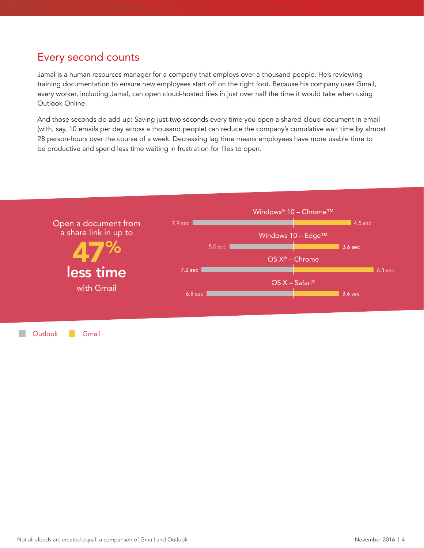## Every second counts

Jamal is a human resources manager for a company that employs over a thousand people. He's reviewing training documentation to ensure new employees start off on the right foot. Because his company uses Gmail, every worker, including Jamal, can open cloud-hosted files in just over half the time it would take when using Outlook Online.

And those seconds do add up: Saving just two seconds every time you open a shared cloud document in email (with, say, 10 emails per day across a thousand people) can reduce the company's cumulative wait time by almost 28 person-hours over the course of a week. Decreasing lag time means employees have more usable time to be productive and spend less time waiting in frustration for files to open.



Outlook Gmail

 $\mathcal{L}^{\text{eff}}$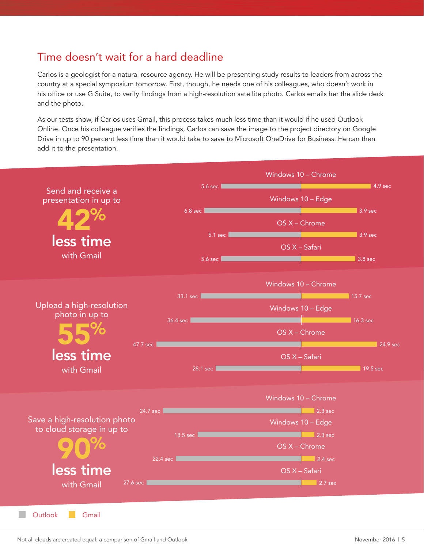## Time doesn't wait for a hard deadline

Carlos is a geologist for a natural resource agency. He will be presenting study results to leaders from across the country at a special symposium tomorrow. First, though, he needs one of his colleagues, who doesn't work in his office or use G Suite, to verify findings from a high-resolution satellite photo. Carlos emails her the slide deck and the photo.

As our tests show, if Carlos uses Gmail, this process takes much less time than it would if he used Outlook Online. Once his colleague verifies the findings, Carlos can save the image to the project directory on Google Drive in up to 90 percent less time than it would take to save to Microsoft OneDrive for Business. He can then add it to the presentation.

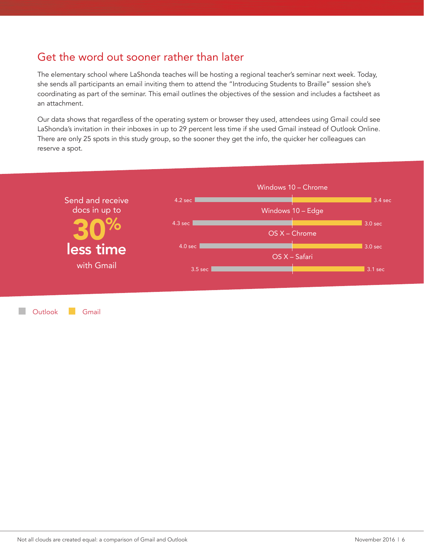### Get the word out sooner rather than later

The elementary school where LaShonda teaches will be hosting a regional teacher's seminar next week. Today, she sends all participants an email inviting them to attend the "Introducing Students to Braille" session she's coordinating as part of the seminar. This email outlines the objectives of the session and includes a factsheet as an attachment.

Our data shows that regardless of the operating system or browser they used, attendees using Gmail could see LaShonda's invitation in their inboxes in up to 29 percent less time if she used Gmail instead of Outlook Online. There are only 25 spots in this study group, so the sooner they get the info, the quicker her colleagues can reserve a spot.



Outlook Gmail**COL**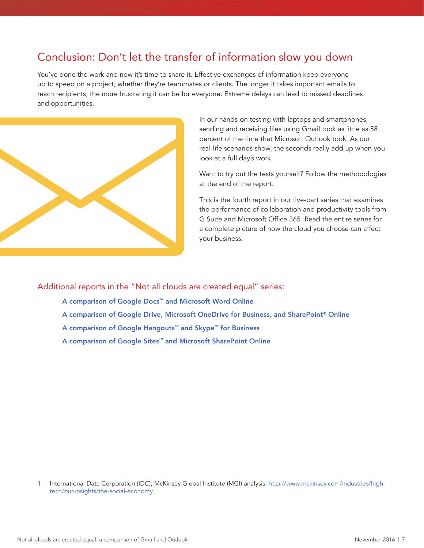## Conclusion: Don't let the transfer of information slow you down

You've done the work and now it's time to share it. Effective exchanges of information keep everyone up to speed on a project, whether they're teammates or clients. The longer it takes important emails to reach recipients, the more frustrating it can be for everyone. Extreme delays can lead to missed deadlines and opportunities.



In our hands-on testing with laptops and smartphones, sending and receiving files using Gmail took as little as 58 percent of the time that Microsoft Outlook took. As our real-life scenarios show, the seconds really add up when you look at a full day's work.

Want to try out the tests yourself? Follow the methodologies at the end of the report.

This is the fourth report in our five-part series that examines the performance of collaboration and productivity tools from G Suite and Microsoft Office 365. Read the entire series for a complete picture of how the cloud you choose can affect your business.

Additional reports in the "Not all clouds are created equal" series:

- [A comparison of Google Docs™ and Microsoft Word Online](http://facts.pt/jHRnW2)
- [A comparison of Google Drive, Microsoft OneDrive for Business, and SharePoint® Online](http://facts.pt/pXCZuf)
- [A comparison of Google Hangouts™ and Skype™ for Business](http://facts.pt/gh24hC)
- A comparison of [Google Sites™ and Microsoft SharePoint Online](http://facts.pt/Kwn98T)

<span id="page-6-0"></span>1 International Data Corporation (IDC); McKinsey Global Institute (MGI) analysis. [http://www.mckinsey.com/industries/high](http://www.mckinsey.com/industries/high-tech/our-insights/the-social-economy)[tech/our-insights/the-social-economy](http://www.mckinsey.com/industries/high-tech/our-insights/the-social-economy)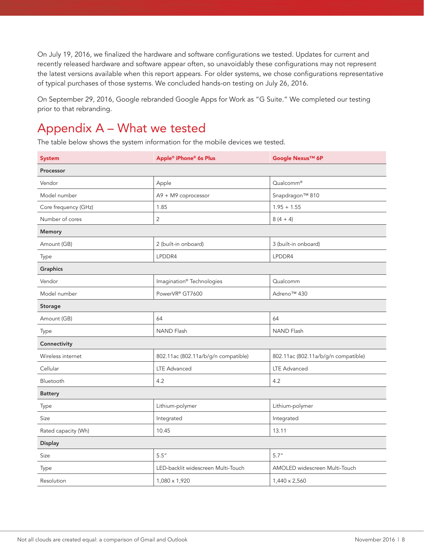On July 19, 2016, we finalized the hardware and software configurations we tested. Updates for current and recently released hardware and software appear often, so unavoidably these configurations may not represent the latest versions available when this report appears. For older systems, we chose configurations representative of typical purchases of those systems. We concluded hands-on testing on July 26, 2016.

On September 29, 2016, Google rebranded Google Apps for Work as "G Suite." We completed our testing prior to that rebranding.

## Appendix A – What we tested

The table below shows the system information for the mobile devices we tested.

| <b>System</b>        | Apple® iPhone® 6s Plus                | Google Nexus™ 6P                    |  |  |
|----------------------|---------------------------------------|-------------------------------------|--|--|
| Processor            |                                       |                                     |  |  |
| Vendor               | Apple                                 | Qualcomm®                           |  |  |
| Model number         | A9 + M9 coprocessor                   | Snapdragon™ 810                     |  |  |
| Core frequency (GHz) | 1.85                                  | $1.95 + 1.55$                       |  |  |
| Number of cores      | $\overline{2}$                        | $8(4 + 4)$                          |  |  |
| Memory               |                                       |                                     |  |  |
| Amount (GB)          | 2 (built-in onboard)                  | 3 (built-in onboard)                |  |  |
| <b>Type</b>          | LPDDR4                                | LPDDR4                              |  |  |
| Graphics             |                                       |                                     |  |  |
| Vendor               | Imagination <sup>®</sup> Technologies | Qualcomm                            |  |  |
| Model number         | PowerVR® GT7600                       | Adreno™ 430                         |  |  |
| Storage              |                                       |                                     |  |  |
| Amount (GB)          | 64                                    | 64                                  |  |  |
| Type                 | <b>NAND Flash</b>                     | <b>NAND Flash</b>                   |  |  |
| Connectivity         |                                       |                                     |  |  |
| Wireless internet    | 802.11ac (802.11a/b/g/n compatible)   | 802.11ac (802.11a/b/g/n compatible) |  |  |
| Cellular             | <b>LTE Advanced</b>                   | <b>LTE Advanced</b>                 |  |  |
| Bluetooth            | 4.2                                   | 4.2                                 |  |  |
| <b>Battery</b>       |                                       |                                     |  |  |
| Type                 | Lithium-polymer                       | Lithium-polymer                     |  |  |
| Size                 | Integrated                            | Integrated                          |  |  |
| Rated capacity (Wh)  | 10.45                                 | 13.11                               |  |  |
| <b>Display</b>       |                                       |                                     |  |  |
| Size                 | 5.5''                                 | 5.7''                               |  |  |
| Type                 | LED-backlit widescreen Multi-Touch    | AMOLED widescreen Multi-Touch       |  |  |
| Resolution           | 1,080 x 1,920                         | 1,440 x 2,560                       |  |  |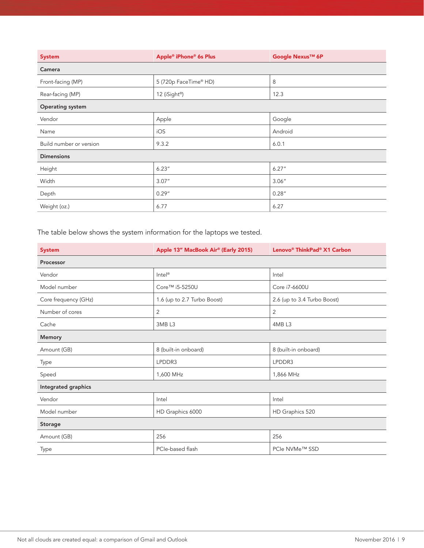| <b>System</b>           | Apple® iPhone® 6s Plus    | Google Nexus™ 6P |  |  |
|-------------------------|---------------------------|------------------|--|--|
| Camera                  |                           |                  |  |  |
| Front-facing (MP)       | 5 (720p FaceTime® HD)     | 8                |  |  |
| Rear-facing (MP)        | 12 (iSight <sup>®</sup> ) | 12.3             |  |  |
| <b>Operating system</b> |                           |                  |  |  |
| Vendor                  | Apple                     | Google           |  |  |
| Name                    | iOS                       | Android          |  |  |
| Build number or version | 9.3.2                     | 6.0.1            |  |  |
| <b>Dimensions</b>       |                           |                  |  |  |
| Height                  | 6.23''                    | 6.27''           |  |  |
| Width                   | 3.07''                    | 3.06''           |  |  |
| Depth                   | 0.29''                    | 0.28''           |  |  |
| Weight (oz.)            | 6.77                      | 6.27             |  |  |

The table below shows the system information for the laptops we tested.

| <b>System</b>        | Apple 13" MacBook Air® (Early 2015) | Lenovo® ThinkPad® X1 Carbon |  |  |
|----------------------|-------------------------------------|-----------------------------|--|--|
| Processor            |                                     |                             |  |  |
| Vendor               | Intel <sup>®</sup>                  | Intel                       |  |  |
| Model number         | Core™ i5-5250U                      | Core i7-6600U               |  |  |
| Core frequency (GHz) | 1.6 (up to 2.7 Turbo Boost)         | 2.6 (up to 3.4 Turbo Boost) |  |  |
| Number of cores      | $\overline{2}$                      | $\overline{2}$              |  |  |
| Cache                | 3MB <sub>L3</sub>                   | 4MB <sub>L3</sub>           |  |  |
| <b>Memory</b>        |                                     |                             |  |  |
| Amount (GB)          | 8 (built-in onboard)                | 8 (built-in onboard)        |  |  |
| Type                 | LPDDR3                              | LPDDR3                      |  |  |
| Speed                | 1,600 MHz                           | 1,866 MHz                   |  |  |
| Integrated graphics  |                                     |                             |  |  |
| Vendor               | Intel                               | Intel                       |  |  |
| Model number         | HD Graphics 6000                    | HD Graphics 520             |  |  |
| Storage              |                                     |                             |  |  |
| Amount (GB)          | 256                                 | 256                         |  |  |
| Type                 | PCIe-based flash                    | PCIe NVMe™ SSD              |  |  |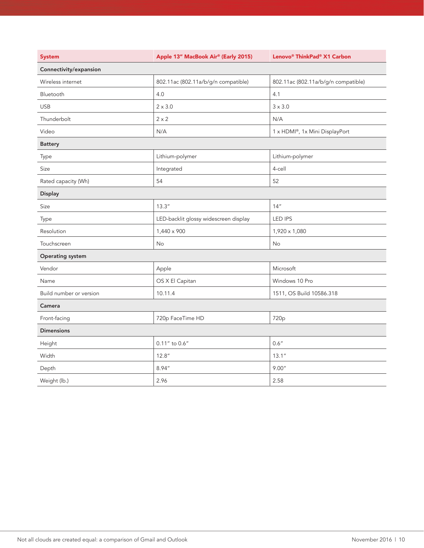| <b>System</b>           | Apple 13" MacBook Air® (Early 2015)   | Lenovo® ThinkPad® X1 Carbon         |
|-------------------------|---------------------------------------|-------------------------------------|
| Connectivity/expansion  |                                       |                                     |
| Wireless internet       | 802.11ac (802.11a/b/g/n compatible)   | 802.11ac (802.11a/b/g/n compatible) |
| Bluetooth               | 4.0                                   | 4.1                                 |
| <b>USB</b>              | $2 \times 3.0$                        | $3 \times 3.0$                      |
| Thunderbolt             | $2 \times 2$                          | N/A                                 |
| Video                   | N/A                                   | 1 x HDMI®, 1x Mini DisplayPort      |
| <b>Battery</b>          |                                       |                                     |
| Type                    | Lithium-polymer                       | Lithium-polymer                     |
| Size                    | Integrated                            | 4-cell                              |
| Rated capacity (Wh)     | 54                                    | 52                                  |
| <b>Display</b>          |                                       |                                     |
| Size                    | 13.3''                                | 14''                                |
| Type                    | LED-backlit glossy widescreen display | <b>LED IPS</b>                      |
| Resolution              | 1,440 x 900                           | 1,920 x 1,080                       |
| Touchscreen             | No                                    | No                                  |
| Operating system        |                                       |                                     |
| Vendor                  | Apple                                 | Microsoft                           |
| Name                    | OS X El Capitan                       | Windows 10 Pro                      |
| Build number or version | 10.11.4                               | 1511, OS Build 10586.318            |
| Camera                  |                                       |                                     |
| Front-facing            | 720p FaceTime HD                      | 720 <sub>p</sub>                    |
| <b>Dimensions</b>       |                                       |                                     |
| Height                  | $0.11''$ to $0.6''$                   | 0.6''                               |
| Width                   | 12.8''                                | 13.1''                              |
| Depth                   | 8.94"                                 | 9.00"                               |
| Weight (lb.)            | 2.96                                  | 2.58                                |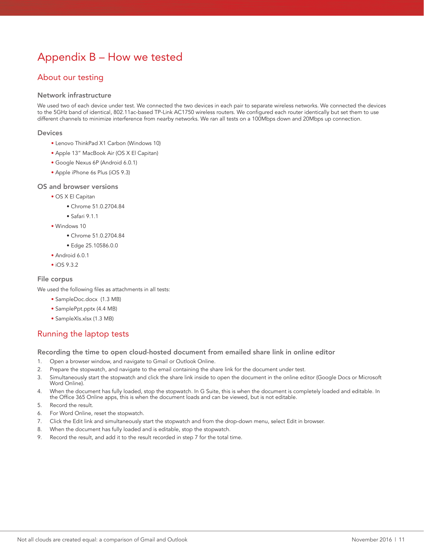## Appendix B – How we tested

### About our testing

#### Network infrastructure

We used two of each device under test. We connected the two devices in each pair to separate wireless networks. We connected the devices to the 5GHz band of identical, 802.11ac-based TP-Link AC1750 wireless routers. We configured each router identically but set them to use different channels to minimize interference from nearby networks. We ran all tests on a 100Mbps down and 20Mbps up connection.

#### Devices

- Lenovo ThinkPad X1 Carbon (Windows 10)
- Apple 13" MacBook Air (OS X El Capitan)
- Google Nexus 6P (Android 6.0.1)
- Apple iPhone 6s Plus (iOS 9.3)

#### OS and browser versions

- OS X El Capitan
	- Chrome 51.0.2704.84
	- Safari 9.1.1
- Windows 10
	- Chrome 51.0.2704.84
	- Edge 25.10586.0.0
- Android 6.0.1
- iOS 9.3.2

#### File corpus

We used the following files as attachments in all tests:

- SampleDoc.docx (1.3 MB)
- SamplePpt.pptx (4.4 MB)
- SampleXls.xlsx (1.3 MB)

### Running the laptop tests

Recording the time to open cloud-hosted document from emailed share link in online editor

- 1. Open a browser window, and navigate to Gmail or Outlook Online.
- 2. Prepare the stopwatch, and navigate to the email containing the share link for the document under test.
- 3. Simultaneously start the stopwatch and click the share link inside to open the document in the online editor (Google Docs or Microsoft Word Online).
- 4. When the document has fully loaded, stop the stopwatch. In G Suite, this is when the document is completely loaded and editable. In the Office 365 Online apps, this is when the document loads and can be viewed, but is not editable.
- 5. Record the result.
- 6. For Word Online, reset the stopwatch.
- 7. Click the Edit link and simultaneously start the stopwatch and from the drop-down menu, select Edit in browser.
- 8. When the document has fully loaded and is editable, stop the stopwatch.
- 9. Record the result, and add it to the result recorded in step 7 for the total time.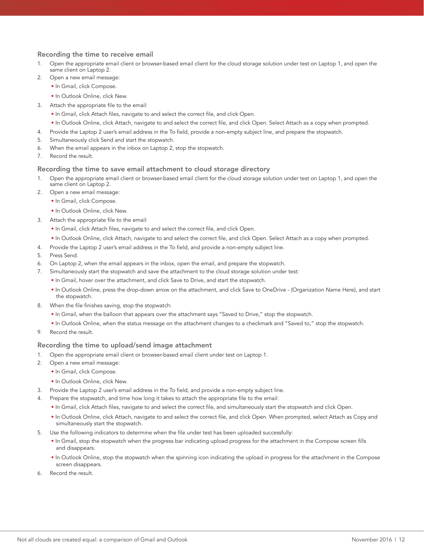#### Recording the time to receive email

- 1. Open the appropriate email client or browser-based email client for the cloud storage solution under test on Laptop 1, and open the same client on Laptop 2.
- 2. Open a new email message:
	- In Gmail, click Compose.
	- In Outlook Online, click New.
- 3. Attach the appropriate file to the email:
	- In Gmail, click Attach files, navigate to and select the correct file, and click Open.
	- In Outlook Online, click Attach, navigate to and select the correct file, and click Open. Select Attach as a copy when prompted.
- 4. Provide the Laptop 2 user's email address in the To field, provide a non-empty subject line, and prepare the stopwatch.
- 5. Simultaneously click Send and start the stopwatch.
- 6. When the email appears in the inbox on Laptop 2, stop the stopwatch.
- 7. Record the result.

#### Recording the time to save email attachment to cloud storage directory

- Open the appropriate email client or browser-based email client for the cloud storage solution under test on Laptop 1, and open the same client on Laptop 2.
- 2. Open a new email message:
	- In Gmail, click Compose.
	- In Outlook Online, click New.
- 3. Attach the appropriate file to the email:
	- In Gmail, click Attach files, navigate to and select the correct file, and click Open.
	- In Outlook Online, click Attach, navigate to and select the correct file, and click Open. Select Attach as a copy when prompted.
- 4. Provide the Laptop 2 user's email address in the To field, and provide a non-empty subject line.
- 5. Press Send.
- 6. On Laptop 2, when the email appears in the inbox, open the email, and prepare the stopwatch.
- 7. Simultaneously start the stopwatch and save the attachment to the cloud storage solution under test:
	- In Gmail, hover over the attachment, and click Save to Drive, and start the stopwatch.
	- In Outlook Online, press the drop-down arrow on the attachment, and click Save to OneDrive (Organization Name Here), and start the stopwatch.
- 8. When the file finishes saving, stop the stopwatch:
	- In Gmail, when the balloon that appears over the attachment says "Saved to Drive," stop the stopwatch.
	- In Outlook Online, when the status message on the attachment changes to a checkmark and "Saved to," stop the stopwatch.
- Record the result.

#### Recording the time to upload/send image attachment

- 1. Open the appropriate email client or browser-based email client under test on Laptop 1.
- 2. Open a new email message:
	- In Gmail, click Compose.
	- In Outlook Online, click New.
- 3. Provide the Laptop 2 user's email address in the To field, and provide a non-empty subject line.
- 4. Prepare the stopwatch, and time how long it takes to attach the appropriate file to the email:
	- In Gmail, click Attach files, navigate to and select the correct file, and simultaneously start the stopwatch and click Open.
	- In Outlook Online, click Attach, navigate to and select the correct file, and click Open. When prompted, select Attach as Copy and simultaneously start the stopwatch.
- 5. Use the following indicators to determine when the file under test has been uploaded successfully:
	- In Gmail, stop the stopwatch when the progress bar indicating upload progress for the attachment in the Compose screen fills and disappears.
	- In Outlook Online, stop the stopwatch when the spinning icon indicating the upload in progress for the attachment in the Compose screen disappears.
- 6. Record the result.